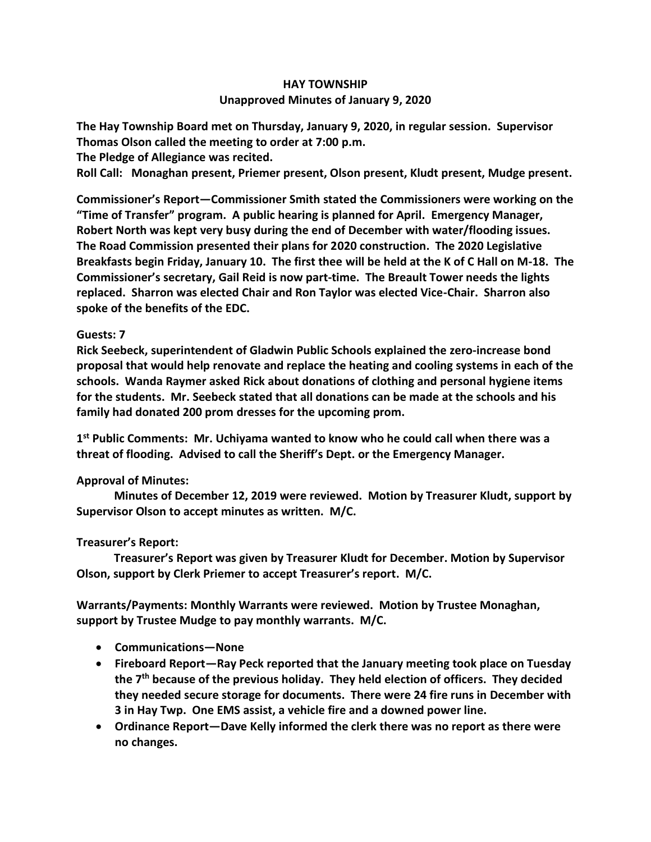## **HAY TOWNSHIP Unapproved Minutes of January 9, 2020**

**The Hay Township Board met on Thursday, January 9, 2020, in regular session. Supervisor Thomas Olson called the meeting to order at 7:00 p.m.** 

**The Pledge of Allegiance was recited.** 

**Roll Call: Monaghan present, Priemer present, Olson present, Kludt present, Mudge present.**

**Commissioner's Report—Commissioner Smith stated the Commissioners were working on the "Time of Transfer" program. A public hearing is planned for April. Emergency Manager, Robert North was kept very busy during the end of December with water/flooding issues. The Road Commission presented their plans for 2020 construction. The 2020 Legislative Breakfasts begin Friday, January 10. The first thee will be held at the K of C Hall on M-18. The Commissioner's secretary, Gail Reid is now part-time. The Breault Tower needs the lights replaced. Sharron was elected Chair and Ron Taylor was elected Vice-Chair. Sharron also spoke of the benefits of the EDC.**

## **Guests: 7**

**Rick Seebeck, superintendent of Gladwin Public Schools explained the zero-increase bond proposal that would help renovate and replace the heating and cooling systems in each of the schools. Wanda Raymer asked Rick about donations of clothing and personal hygiene items for the students. Mr. Seebeck stated that all donations can be made at the schools and his family had donated 200 prom dresses for the upcoming prom.** 

**1 st Public Comments: Mr. Uchiyama wanted to know who he could call when there was a threat of flooding. Advised to call the Sheriff's Dept. or the Emergency Manager.**

## **Approval of Minutes:**

 **Minutes of December 12, 2019 were reviewed. Motion by Treasurer Kludt, support by Supervisor Olson to accept minutes as written. M/C.**

## **Treasurer's Report:**

 **Treasurer's Report was given by Treasurer Kludt for December. Motion by Supervisor Olson, support by Clerk Priemer to accept Treasurer's report. M/C.**

**Warrants/Payments: Monthly Warrants were reviewed. Motion by Trustee Monaghan, support by Trustee Mudge to pay monthly warrants. M/C.**

- **Communications—None**
- **Fireboard Report—Ray Peck reported that the January meeting took place on Tuesday the 7th because of the previous holiday. They held election of officers. They decided they needed secure storage for documents. There were 24 fire runs in December with 3 in Hay Twp. One EMS assist, a vehicle fire and a downed power line.**
- **Ordinance Report—Dave Kelly informed the clerk there was no report as there were no changes.**